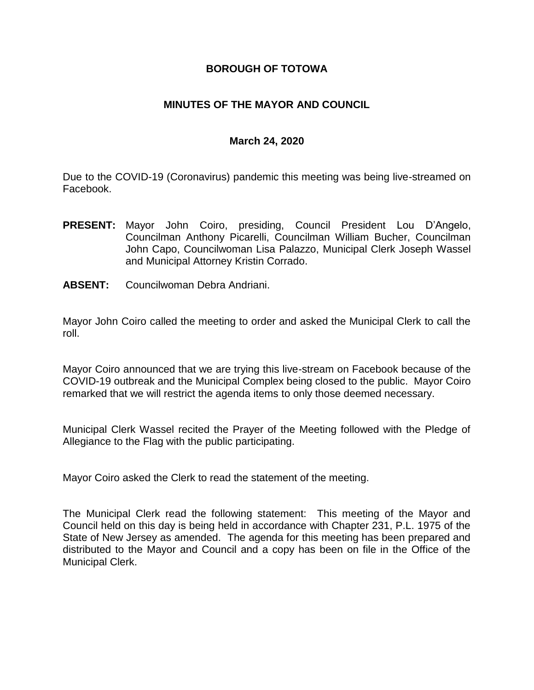## **BOROUGH OF TOTOWA**

## **MINUTES OF THE MAYOR AND COUNCIL**

#### **March 24, 2020**

Due to the COVID-19 (Coronavirus) pandemic this meeting was being live-streamed on Facebook.

- **PRESENT:** Mayor John Coiro, presiding, Council President Lou D'Angelo, Councilman Anthony Picarelli, Councilman William Bucher, Councilman John Capo, Councilwoman Lisa Palazzo, Municipal Clerk Joseph Wassel and Municipal Attorney Kristin Corrado.
- **ABSENT:** Councilwoman Debra Andriani.

Mayor John Coiro called the meeting to order and asked the Municipal Clerk to call the roll.

Mayor Coiro announced that we are trying this live-stream on Facebook because of the COVID-19 outbreak and the Municipal Complex being closed to the public. Mayor Coiro remarked that we will restrict the agenda items to only those deemed necessary.

Municipal Clerk Wassel recited the Prayer of the Meeting followed with the Pledge of Allegiance to the Flag with the public participating.

Mayor Coiro asked the Clerk to read the statement of the meeting.

The Municipal Clerk read the following statement: This meeting of the Mayor and Council held on this day is being held in accordance with Chapter 231, P.L. 1975 of the State of New Jersey as amended. The agenda for this meeting has been prepared and distributed to the Mayor and Council and a copy has been on file in the Office of the Municipal Clerk.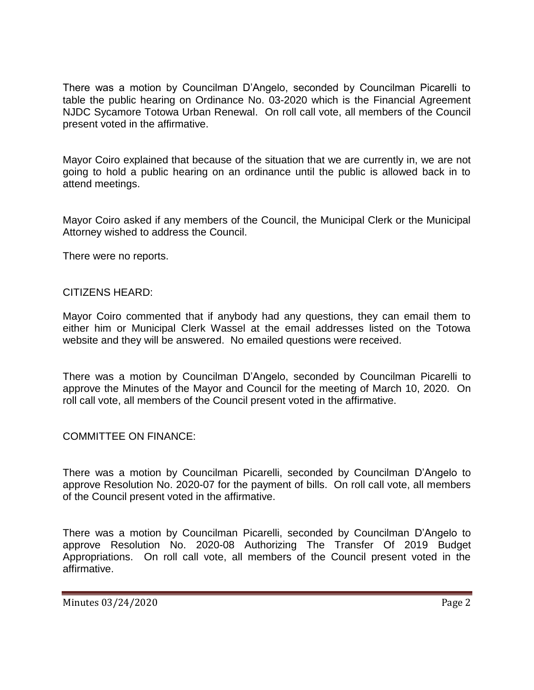There was a motion by Councilman D'Angelo, seconded by Councilman Picarelli to table the public hearing on Ordinance No. 03-2020 which is the Financial Agreement NJDC Sycamore Totowa Urban Renewal. On roll call vote, all members of the Council present voted in the affirmative.

Mayor Coiro explained that because of the situation that we are currently in, we are not going to hold a public hearing on an ordinance until the public is allowed back in to attend meetings.

Mayor Coiro asked if any members of the Council, the Municipal Clerk or the Municipal Attorney wished to address the Council.

There were no reports.

## CITIZENS HEARD:

Mayor Coiro commented that if anybody had any questions, they can email them to either him or Municipal Clerk Wassel at the email addresses listed on the Totowa website and they will be answered. No emailed questions were received.

There was a motion by Councilman D'Angelo, seconded by Councilman Picarelli to approve the Minutes of the Mayor and Council for the meeting of March 10, 2020. On roll call vote, all members of the Council present voted in the affirmative.

# COMMITTEE ON FINANCE:

There was a motion by Councilman Picarelli, seconded by Councilman D'Angelo to approve Resolution No. 2020-07 for the payment of bills. On roll call vote, all members of the Council present voted in the affirmative.

There was a motion by Councilman Picarelli, seconded by Councilman D'Angelo to approve Resolution No. 2020-08 Authorizing The Transfer Of 2019 Budget Appropriations. On roll call vote, all members of the Council present voted in the affirmative.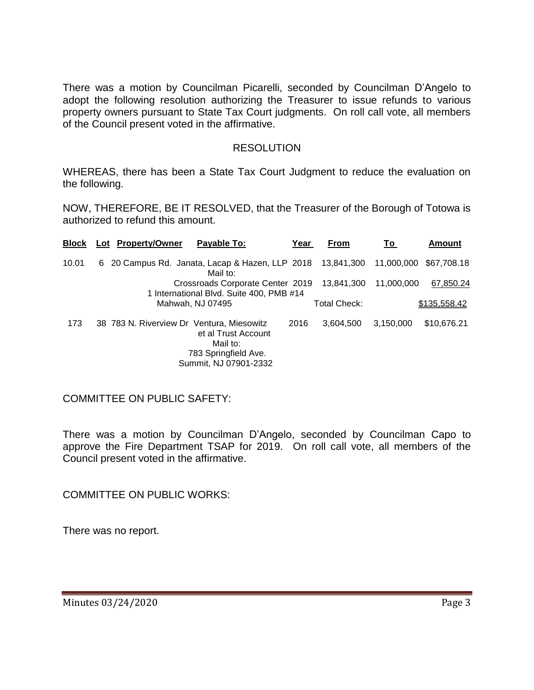There was a motion by Councilman Picarelli, seconded by Councilman D'Angelo to adopt the following resolution authorizing the Treasurer to issue refunds to various property owners pursuant to State Tax Court judgments. On roll call vote, all members of the Council present voted in the affirmative.

### RESOLUTION

WHEREAS, there has been a State Tax Court Judgment to reduce the evaluation on the following.

NOW, THEREFORE, BE IT RESOLVED, that the Treasurer of the Borough of Totowa is authorized to refund this amount.

| <b>Block</b> | Lot Property/Owner                        | Payable To:                                                                      | Year | <b>From</b>  | To                     | <b>Amount</b> |
|--------------|-------------------------------------------|----------------------------------------------------------------------------------|------|--------------|------------------------|---------------|
| 10.01        |                                           | 6 20 Campus Rd. Janata, Lacap & Hazen, LLP 2018 13,841,300<br>Mail to:           |      |              | 11,000,000 \$67,708.18 |               |
|              |                                           | Crossroads Corporate Center 2019<br>1 International Blvd. Suite 400, PMB #14     |      | 13.841.300   | 11,000,000             | 67,850.24     |
|              |                                           | Mahwah, NJ 07495                                                                 |      | Total Check: |                        | \$135,558.42  |
| 173          | 38 783 N. Riverview Dr Ventura, Miesowitz | et al Trust Account<br>Mail to:<br>783 Springfield Ave.<br>Summit, NJ 07901-2332 | 2016 | 3,604,500    | 3,150,000              | \$10,676.21   |

COMMITTEE ON PUBLIC SAFETY:

There was a motion by Councilman D'Angelo, seconded by Councilman Capo to approve the Fire Department TSAP for 2019. On roll call vote, all members of the Council present voted in the affirmative.

COMMITTEE ON PUBLIC WORKS:

There was no report.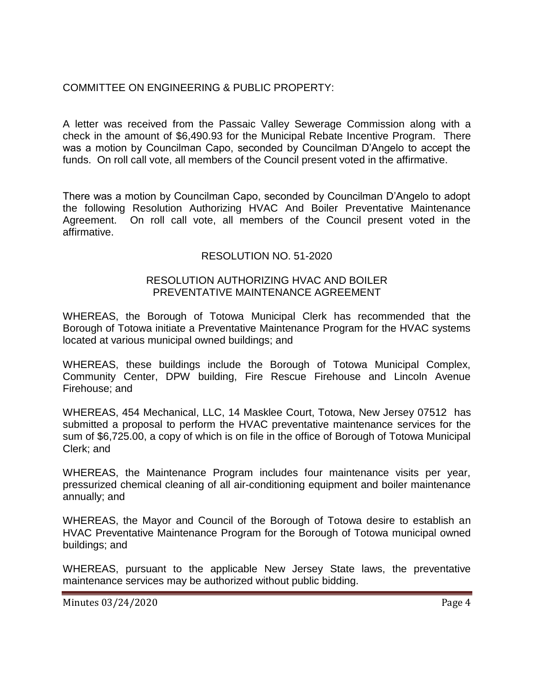# COMMITTEE ON ENGINEERING & PUBLIC PROPERTY:

A letter was received from the Passaic Valley Sewerage Commission along with a check in the amount of \$6,490.93 for the Municipal Rebate Incentive Program. There was a motion by Councilman Capo, seconded by Councilman D'Angelo to accept the funds. On roll call vote, all members of the Council present voted in the affirmative.

There was a motion by Councilman Capo, seconded by Councilman D'Angelo to adopt the following Resolution Authorizing HVAC And Boiler Preventative Maintenance Agreement. On roll call vote, all members of the Council present voted in the affirmative.

### RESOLUTION NO. 51-2020

#### RESOLUTION AUTHORIZING HVAC AND BOILER PREVENTATIVE MAINTENANCE AGREEMENT

WHEREAS, the Borough of Totowa Municipal Clerk has recommended that the Borough of Totowa initiate a Preventative Maintenance Program for the HVAC systems located at various municipal owned buildings; and

WHEREAS, these buildings include the Borough of Totowa Municipal Complex, Community Center, DPW building, Fire Rescue Firehouse and Lincoln Avenue Firehouse; and

WHEREAS, 454 Mechanical, LLC, 14 Masklee Court, Totowa, New Jersey 07512 has submitted a proposal to perform the HVAC preventative maintenance services for the sum of \$6,725.00, a copy of which is on file in the office of Borough of Totowa Municipal Clerk; and

WHEREAS, the Maintenance Program includes four maintenance visits per year, pressurized chemical cleaning of all air-conditioning equipment and boiler maintenance annually; and

WHEREAS, the Mayor and Council of the Borough of Totowa desire to establish an HVAC Preventative Maintenance Program for the Borough of Totowa municipal owned buildings; and

WHEREAS, pursuant to the applicable New Jersey State laws, the preventative maintenance services may be authorized without public bidding.